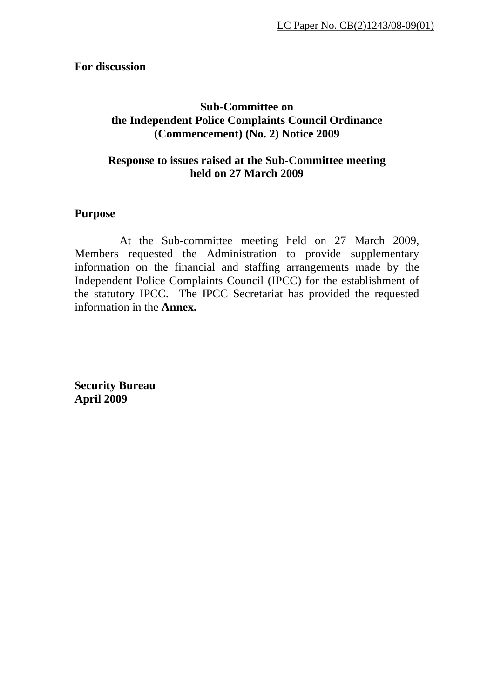**For discussion** 

### **Sub-Committee on the Independent Police Complaints Council Ordinance (Commencement) (No. 2) Notice 2009**

### **Response to issues raised at the Sub-Committee meeting held on 27 March 2009**

#### **Purpose**

 At the Sub-committee meeting held on 27 March 2009, Members requested the Administration to provide supplementary information on the financial and staffing arrangements made by the Independent Police Complaints Council (IPCC) for the establishment of the statutory IPCC. The IPCC Secretariat has provided the requested information in the **Annex.**

**Security Bureau April 2009**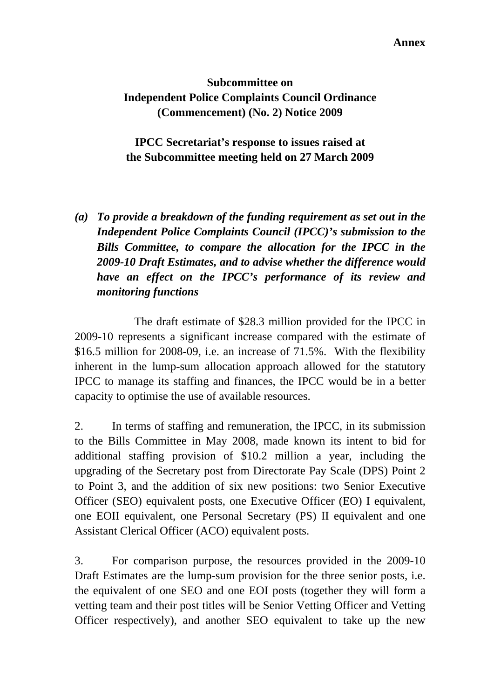#### **Annex**

## **Subcommittee on Independent Police Complaints Council Ordinance (Commencement) (No. 2) Notice 2009**

## **IPCC Secretariat's response to issues raised at the Subcommittee meeting held on 27 March 2009**

*(a) To provide a breakdown of the funding requirement as set out in the Independent Police Complaints Council (IPCC)'s submission to the Bills Committee, to compare the allocation for the IPCC in the 2009-10 Draft Estimates, and to advise whether the difference would have an effect on the IPCC's performance of its review and monitoring functions* 

 The draft estimate of \$28.3 million provided for the IPCC in 2009-10 represents a significant increase compared with the estimate of \$16.5 million for 2008-09, i.e. an increase of 71.5%. With the flexibility inherent in the lump-sum allocation approach allowed for the statutory IPCC to manage its staffing and finances, the IPCC would be in a better capacity to optimise the use of available resources.

2. In terms of staffing and remuneration, the IPCC, in its submission to the Bills Committee in May 2008, made known its intent to bid for additional staffing provision of \$10.2 million a year, including the upgrading of the Secretary post from Directorate Pay Scale (DPS) Point 2 to Point 3, and the addition of six new positions: two Senior Executive Officer (SEO) equivalent posts, one Executive Officer (EO) I equivalent, one EOII equivalent, one Personal Secretary (PS) II equivalent and one Assistant Clerical Officer (ACO) equivalent posts.

3. For comparison purpose, the resources provided in the 2009-10 Draft Estimates are the lump-sum provision for the three senior posts, i.e. the equivalent of one SEO and one EOI posts (together they will form a vetting team and their post titles will be Senior Vetting Officer and Vetting Officer respectively), and another SEO equivalent to take up the new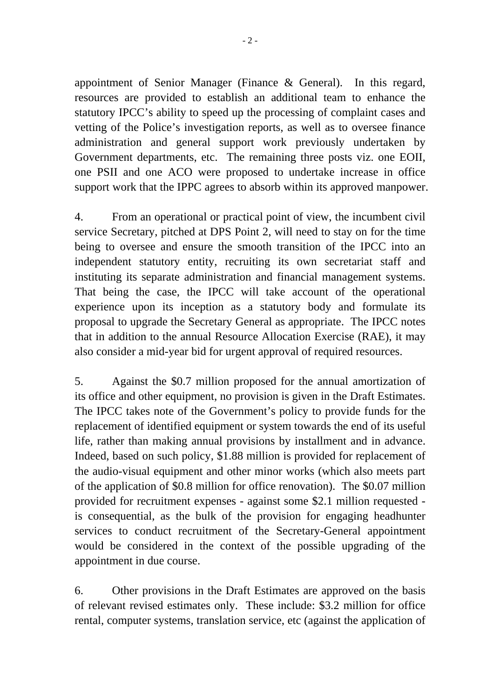appointment of Senior Manager (Finance & General). In this regard, resources are provided to establish an additional team to enhance the statutory IPCC's ability to speed up the processing of complaint cases and vetting of the Police's investigation reports, as well as to oversee finance administration and general support work previously undertaken by Government departments, etc. The remaining three posts viz. one EOII, one PSII and one ACO were proposed to undertake increase in office support work that the IPPC agrees to absorb within its approved manpower.

4. From an operational or practical point of view, the incumbent civil service Secretary, pitched at DPS Point 2, will need to stay on for the time being to oversee and ensure the smooth transition of the IPCC into an independent statutory entity, recruiting its own secretariat staff and instituting its separate administration and financial management systems. That being the case, the IPCC will take account of the operational experience upon its inception as a statutory body and formulate its proposal to upgrade the Secretary General as appropriate. The IPCC notes that in addition to the annual Resource Allocation Exercise (RAE), it may also consider a mid-year bid for urgent approval of required resources.

5. Against the \$0.7 million proposed for the annual amortization of its office and other equipment, no provision is given in the Draft Estimates. The IPCC takes note of the Government's policy to provide funds for the replacement of identified equipment or system towards the end of its useful life, rather than making annual provisions by installment and in advance. Indeed, based on such policy, \$1.88 million is provided for replacement of the audio-visual equipment and other minor works (which also meets part of the application of \$0.8 million for office renovation). The \$0.07 million provided for recruitment expenses - against some \$2.1 million requested is consequential, as the bulk of the provision for engaging headhunter services to conduct recruitment of the Secretary-General appointment would be considered in the context of the possible upgrading of the appointment in due course.

6. Other provisions in the Draft Estimates are approved on the basis of relevant revised estimates only. These include: \$3.2 million for office rental, computer systems, translation service, etc (against the application of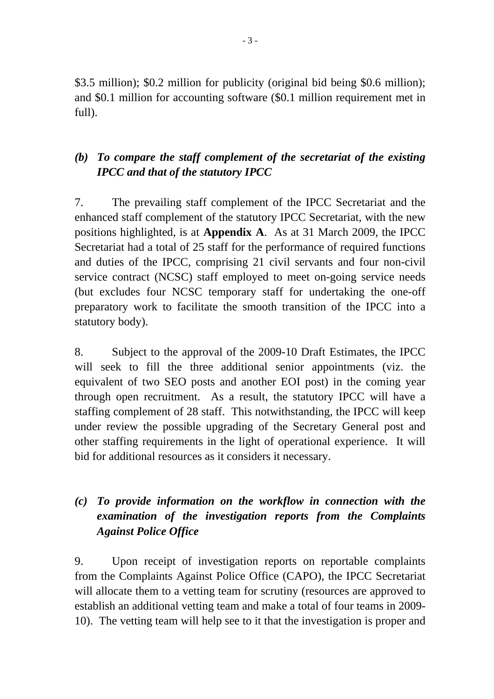\$3.5 million); \$0.2 million for publicity (original bid being \$0.6 million); and \$0.1 million for accounting software (\$0.1 million requirement met in full).

# *(b) To compare the staff complement of the secretariat of the existing IPCC and that of the statutory IPCC*

7. The prevailing staff complement of the IPCC Secretariat and the enhanced staff complement of the statutory IPCC Secretariat, with the new positions highlighted, is at **Appendix A**. As at 31 March 2009, the IPCC Secretariat had a total of 25 staff for the performance of required functions and duties of the IPCC, comprising 21 civil servants and four non-civil service contract (NCSC) staff employed to meet on-going service needs (but excludes four NCSC temporary staff for undertaking the one-off preparatory work to facilitate the smooth transition of the IPCC into a statutory body).

8. Subject to the approval of the 2009-10 Draft Estimates, the IPCC will seek to fill the three additional senior appointments (viz. the equivalent of two SEO posts and another EOI post) in the coming year through open recruitment. As a result, the statutory IPCC will have a staffing complement of 28 staff. This notwithstanding, the IPCC will keep under review the possible upgrading of the Secretary General post and other staffing requirements in the light of operational experience. It will bid for additional resources as it considers it necessary.

# *(c) To provide information on the workflow in connection with the examination of the investigation reports from the Complaints Against Police Office*

9. Upon receipt of investigation reports on reportable complaints from the Complaints Against Police Office (CAPO), the IPCC Secretariat will allocate them to a vetting team for scrutiny (resources are approved to establish an additional vetting team and make a total of four teams in 2009- 10). The vetting team will help see to it that the investigation is proper and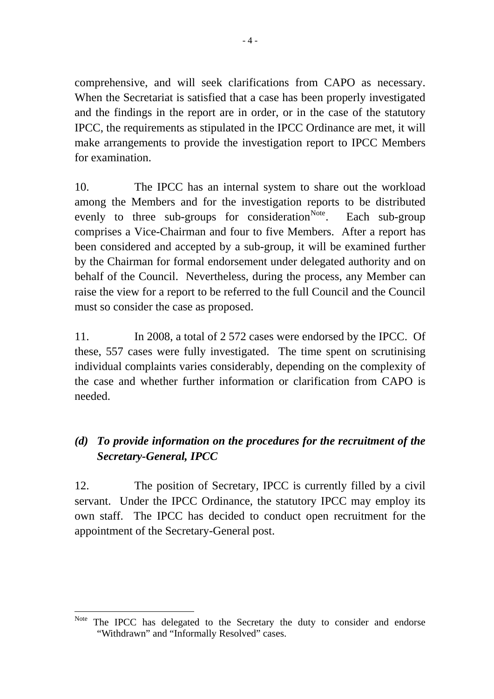<span id="page-4-0"></span>comprehensive, and will seek clarifications from CAPO as necessary. When the Secretariat is satisfied that a case has been properly investigated and the findings in the report are in order, or in the case of the statutory IPCC, the requirements as stipulated in the IPCC Ordinance are met, it will make arrangements to provide the investigation report to IPCC Members for examination.

10. The IPCC has an internal system to share out the workload among the Members and for the investigation reports to be distributed evenly to three sub-groups for consideration<sup>[Note](#page-4-0)</sup>. Each sub-group comprises a Vice-Chairman and four to five Members. After a report has been considered and accepted by a sub-group, it will be examined further by the Chairman for formal endorsement under delegated authority and on behalf of the Council. Nevertheless, during the process, any Member can raise the view for a report to be referred to the full Council and the Council must so consider the case as proposed.

11. In 2008, a total of 2 572 cases were endorsed by the IPCC. Of these, 557 cases were fully investigated. The time spent on scrutinising individual complaints varies considerably, depending on the complexity of the case and whether further information or clarification from CAPO is needed.

# *(d) To provide information on the procedures for the recruitment of the Secretary-General, IPCC*

12. The position of Secretary, IPCC is currently filled by a civil servant. Under the IPCC Ordinance, the statutory IPCC may employ its own staff. The IPCC has decided to conduct open recruitment for the appointment of the Secretary-General post.

1

Note The IPCC has delegated to the Secretary the duty to consider and endorse "Withdrawn" and "Informally Resolved" cases.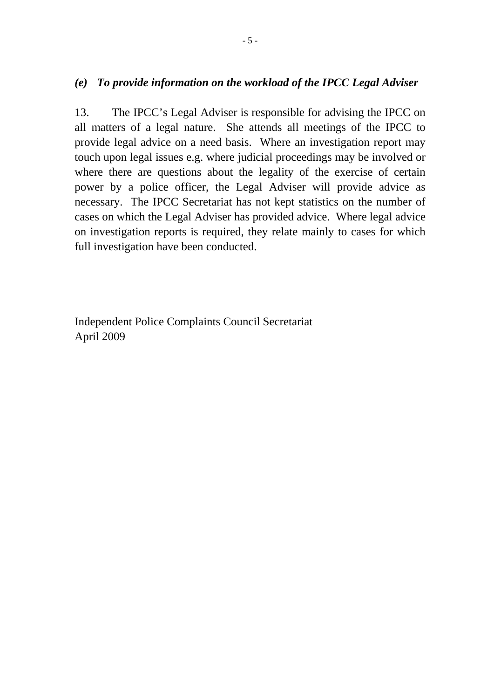#### *(e) To provide information on the workload of the IPCC Legal Adviser*

13. The IPCC's Legal Adviser is responsible for advising the IPCC on all matters of a legal nature. She attends all meetings of the IPCC to provide legal advice on a need basis. Where an investigation report may touch upon legal issues e.g. where judicial proceedings may be involved or where there are questions about the legality of the exercise of certain power by a police officer, the Legal Adviser will provide advice as necessary. The IPCC Secretariat has not kept statistics on the number of cases on which the Legal Adviser has provided advice. Where legal advice on investigation reports is required, they relate mainly to cases for which full investigation have been conducted.

Independent Police Complaints Council Secretariat April 2009